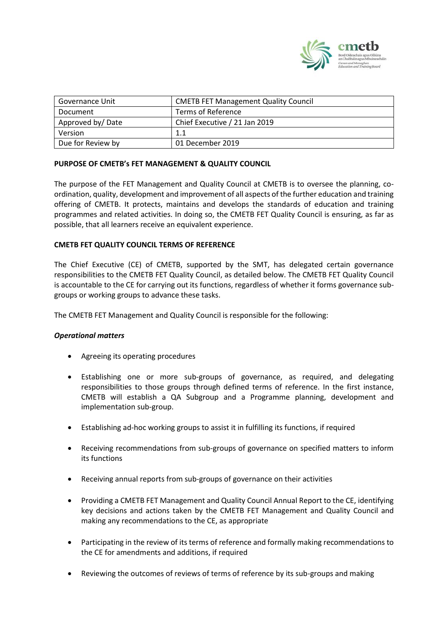

| Governance Unit   | <b>CMETB FET Management Quality Council</b> |
|-------------------|---------------------------------------------|
| Document          | Terms of Reference                          |
| Approved by/Date  | Chief Executive / 21 Jan 2019               |
| Version           | 1.1                                         |
| Due for Review by | 01 December 2019                            |

## **PURPOSE OF CMETB's FET MANAGEMENT & QUALITY COUNCIL**

The purpose of the FET Management and Quality Council at CMETB is to oversee the planning, coordination, quality, development and improvement of all aspects of the further education and training offering of CMETB. It protects, maintains and develops the standards of education and training programmes and related activities. In doing so, the CMETB FET Quality Council is ensuring, as far as possible, that all learners receive an equivalent experience.

### **CMETB FET QUALITY COUNCIL TERMS OF REFERENCE**

The Chief Executive (CE) of CMETB, supported by the SMT, has delegated certain governance responsibilities to the CMETB FET Quality Council, as detailed below. The CMETB FET Quality Council is accountable to the CE for carrying out its functions, regardless of whether it forms governance subgroups or working groups to advance these tasks.

The CMETB FET Management and Quality Council is responsible for the following:

### *Operational matters*

- Agreeing its operating procedures
- Establishing one or more sub-groups of governance, as required, and delegating responsibilities to those groups through defined terms of reference. In the first instance, CMETB will establish a QA Subgroup and a Programme planning, development and implementation sub-group.
- Establishing ad-hoc working groups to assist it in fulfilling its functions, if required
- Receiving recommendations from sub-groups of governance on specified matters to inform its functions
- Receiving annual reports from sub-groups of governance on their activities
- Providing a CMETB FET Management and Quality Council Annual Report to the CE, identifying key decisions and actions taken by the CMETB FET Management and Quality Council and making any recommendations to the CE, as appropriate
- Participating in the review of its terms of reference and formally making recommendations to the CE for amendments and additions, if required
- Reviewing the outcomes of reviews of terms of reference by its sub-groups and making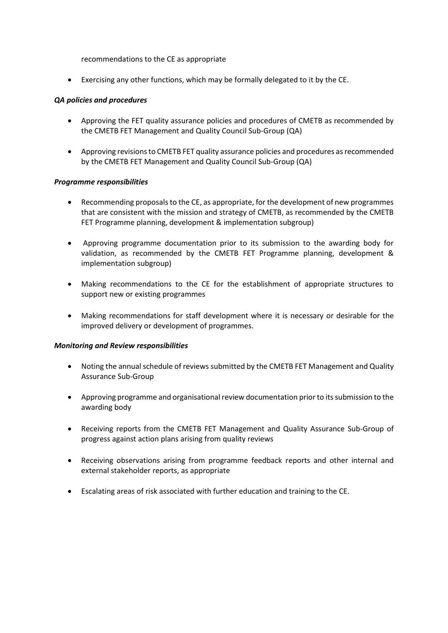recommendations to the CE as appropriate

• Exercising any other functions, which may be formally delegated to it by the CE.

### *QA policies and procedures*

- Approving the FET quality assurance policies and procedures of CMETB as recommended by the CMETB FET Management and Quality Council Sub-Group (QA)
- Approving revisions to CMETB FET quality assurance policies and procedures as recommended by the CMETB FET Management and Quality Council Sub-Group (QA)

## *Programme responsibilities*

- Recommending proposals to the CE, as appropriate, for the development of new programmes that are consistent with the mission and strategy of CMETB, as recommended by the CMETB FET Programme planning, development & implementation subgroup)
- Approving programme documentation prior to its submission to the awarding body for validation, as recommended by the CMETB FET Programme planning, development & implementation subgroup)
- Making recommendations to the CE for the establishment of appropriate structures to support new or existing programmes
- Making recommendations for staff development where it is necessary or desirable for the improved delivery or development of programmes.

### *Monitoring and Review responsibilities*

- Noting the annual schedule of reviews submitted by the CMETB FET Management and Quality Assurance Sub-Group
- Approving programme and organisational review documentation prior to its submission to the awarding body
- Receiving reports from the CMETB FET Management and Quality Assurance Sub-Group of progress against action plans arising from quality reviews
- Receiving observations arising from programme feedback reports and other internal and external stakeholder reports, as appropriate
- Escalating areas of risk associated with further education and training to the CE.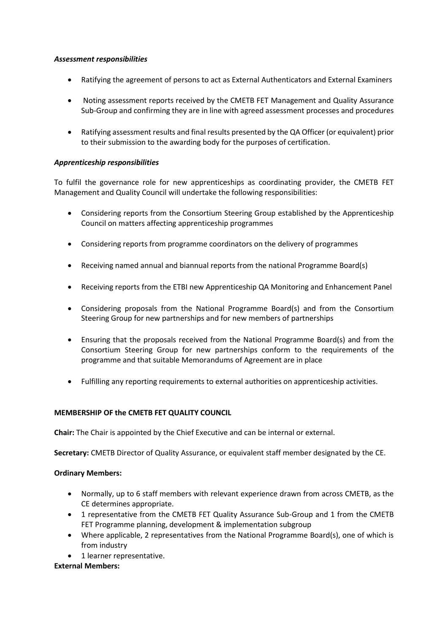### *Assessment responsibilities*

- Ratifying the agreement of persons to act as External Authenticators and External Examiners
- Noting assessment reports received by the CMETB FET Management and Quality Assurance Sub-Group and confirming they are in line with agreed assessment processes and procedures
- Ratifying assessment results and final results presented by the QA Officer (or equivalent) prior to their submission to the awarding body for the purposes of certification.

## *Apprenticeship responsibilities*

To fulfil the governance role for new apprenticeships as coordinating provider, the CMETB FET Management and Quality Council will undertake the following responsibilities:

- Considering reports from the Consortium Steering Group established by the Apprenticeship Council on matters affecting apprenticeship programmes
- Considering reports from programme coordinators on the delivery of programmes
- Receiving named annual and biannual reports from the national Programme Board(s)
- Receiving reports from the ETBI new Apprenticeship QA Monitoring and Enhancement Panel
- Considering proposals from the National Programme Board(s) and from the Consortium Steering Group for new partnerships and for new members of partnerships
- Ensuring that the proposals received from the National Programme Board(s) and from the Consortium Steering Group for new partnerships conform to the requirements of the programme and that suitable Memorandums of Agreement are in place
- Fulfilling any reporting requirements to external authorities on apprenticeship activities.

# **MEMBERSHIP OF the CMETB FET QUALITY COUNCIL**

**Chair:** The Chair is appointed by the Chief Executive and can be internal or external.

**Secretary:** CMETB Director of Quality Assurance, or equivalent staff member designated by the CE.

### **Ordinary Members:**

- Normally, up to 6 staff members with relevant experience drawn from across CMETB, as the CE determines appropriate.
- 1 representative from the CMETB FET Quality Assurance Sub-Group and 1 from the CMETB FET Programme planning, development & implementation subgroup
- Where applicable, 2 representatives from the National Programme Board(s), one of which is from industry
- 1 learner representative.

### **External Members:**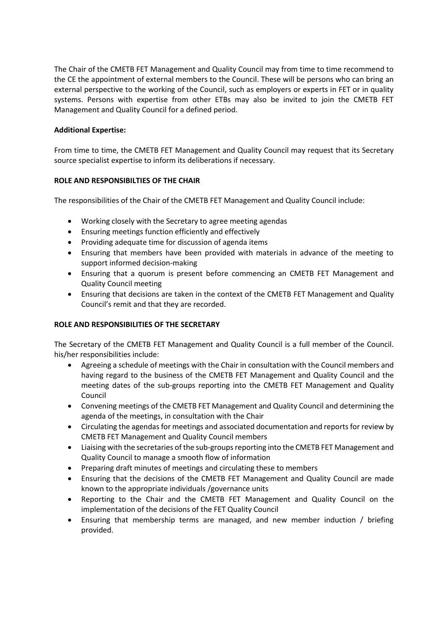The Chair of the CMETB FET Management and Quality Council may from time to time recommend to the CE the appointment of external members to the Council. These will be persons who can bring an external perspective to the working of the Council, such as employers or experts in FET or in quality systems. Persons with expertise from other ETBs may also be invited to join the CMETB FET Management and Quality Council for a defined period.

## **Additional Expertise:**

From time to time, the CMETB FET Management and Quality Council may request that its Secretary source specialist expertise to inform its deliberations if necessary.

## **ROLE AND RESPONSIBILTIES OF THE CHAIR**

The responsibilities of the Chair of the CMETB FET Management and Quality Council include:

- Working closely with the Secretary to agree meeting agendas
- Ensuring meetings function efficiently and effectively
- Providing adequate time for discussion of agenda items
- Ensuring that members have been provided with materials in advance of the meeting to support informed decision-making
- Ensuring that a quorum is present before commencing an CMETB FET Management and Quality Council meeting
- Ensuring that decisions are taken in the context of the CMETB FET Management and Quality Council's remit and that they are recorded.

# **ROLE AND RESPONSIBILITIES OF THE SECRETARY**

The Secretary of the CMETB FET Management and Quality Council is a full member of the Council. his/her responsibilities include:

- Agreeing a schedule of meetings with the Chair in consultation with the Council members and having regard to the business of the CMETB FET Management and Quality Council and the meeting dates of the sub-groups reporting into the CMETB FET Management and Quality Council
- Convening meetings of the CMETB FET Management and Quality Council and determining the agenda of the meetings, in consultation with the Chair
- Circulating the agendas for meetings and associated documentation and reports for review by CMETB FET Management and Quality Council members
- Liaising with the secretaries of the sub-groups reporting into the CMETB FET Management and Quality Council to manage a smooth flow of information
- Preparing draft minutes of meetings and circulating these to members
- Ensuring that the decisions of the CMETB FET Management and Quality Council are made known to the appropriate individuals /governance units
- Reporting to the Chair and the CMETB FET Management and Quality Council on the implementation of the decisions of the FET Quality Council
- Ensuring that membership terms are managed, and new member induction / briefing provided.